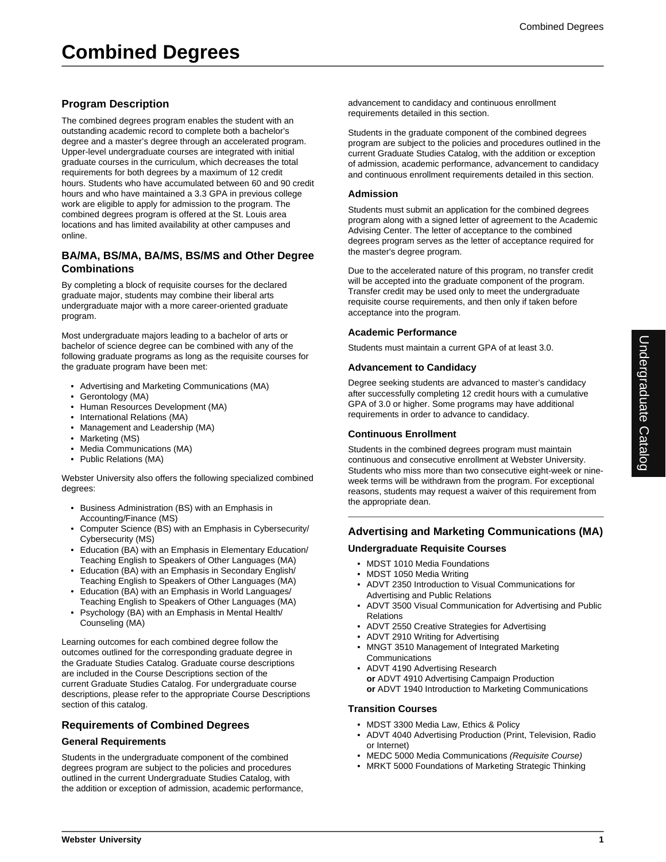# **Program Description**

The combined degrees program enables the student with an outstanding academic record to complete both a bachelor's degree and a master's degree through an accelerated program. Upper-level undergraduate courses are integrated with initial graduate courses in the curriculum, which decreases the total requirements for both degrees by a maximum of 12 credit hours. Students who have accumulated between 60 and 90 credit hours and who have maintained a 3.3 GPA in previous college work are eligible to apply for admission to the program. The combined degrees program is offered at the St. Louis area locations and has limited availability at other campuses and online.

## **BA/MA, BS/MA, BA/MS, BS/MS and Other Degree Combinations**

By completing a block of requisite courses for the declared graduate major, students may combine their liberal arts undergraduate major with a more career-oriented graduate program.

Most undergraduate majors leading to a bachelor of arts or bachelor of science degree can be combined with any of the following graduate programs as long as the requisite courses for the graduate program have been met:

- Advertising and Marketing Communications (MA)
- Gerontology (MA)
- Human Resources Development (MA)
- International Relations (MA)
- Management and Leadership (MA)
- Marketing (MS)
- Media Communications (MA)
- Public Relations (MA)

Webster University also offers the following specialized combined degrees:

- Business Administration (BS) with an Emphasis in Accounting/Finance (MS)
- Computer Science (BS) with an Emphasis in Cybersecurity/ Cybersecurity (MS)
- Education (BA) with an Emphasis in Elementary Education/ Teaching English to Speakers of Other Languages (MA)
- Education (BA) with an Emphasis in Secondary English/ Teaching English to Speakers of Other Languages (MA)
- Education (BA) with an Emphasis in World Languages/ Teaching English to Speakers of Other Languages (MA)
- Psychology (BA) with an Emphasis in Mental Health/ Counseling (MA)

Learning outcomes for each combined degree follow the outcomes outlined for the corresponding graduate degree in the Graduate Studies Catalog. Graduate course descriptions are included in the Course Descriptions section of the current Graduate Studies Catalog. For undergraduate course descriptions, please refer to the appropriate Course Descriptions section of this catalog.

# **Requirements of Combined Degrees**

#### **General Requirements**

Students in the undergraduate component of the combined degrees program are subject to the policies and procedures outlined in the current Undergraduate Studies Catalog, with the addition or exception of admission, academic performance,

advancement to candidacy and continuous enrollment requirements detailed in this section.

Students in the graduate component of the combined degrees program are subject to the policies and procedures outlined in the current Graduate Studies Catalog, with the addition or exception of admission, academic performance, advancement to candidacy and continuous enrollment requirements detailed in this section.

#### **Admission**

Students must submit an application for the combined degrees program along with a signed letter of agreement to the Academic Advising Center. The letter of acceptance to the combined degrees program serves as the letter of acceptance required for the master's degree program.

Due to the accelerated nature of this program, no transfer credit will be accepted into the graduate component of the program. Transfer credit may be used only to meet the undergraduate requisite course requirements, and then only if taken before acceptance into the program.

#### **Academic Performance**

Students must maintain a current GPA of at least 3.0.

#### **Advancement to Candidacy**

Degree seeking students are advanced to master's candidacy after successfully completing 12 credit hours with a cumulative GPA of 3.0 or higher. Some programs may have additional requirements in order to advance to candidacy.

#### **Continuous Enrollment**

Students in the combined degrees program must maintain continuous and consecutive enrollment at Webster University. Students who miss more than two consecutive eight-week or nineweek terms will be withdrawn from the program. For exceptional reasons, students may request a waiver of this requirement from the appropriate dean.

## **Advertising and Marketing Communications (MA)**

## **Undergraduate Requisite Courses**

- MDST 1010 Media Foundations
- MDST 1050 Media Writing
- ADVT 2350 Introduction to Visual Communications for Advertising and Public Relations
- ADVT 3500 Visual Communication for Advertising and Public Relations
- ADVT 2550 Creative Strategies for Advertising
- ADVT 2910 Writing for Advertising
- MNGT 3510 Management of Integrated Marketing Communications
- ADVT 4190 Advertising Research **or** ADVT 4910 Advertising Campaign Production **or** ADVT 1940 Introduction to Marketing Communications

#### **Transition Courses**

- MDST 3300 Media Law, Ethics & Policy
- ADVT 4040 Advertising Production (Print, Television, Radio or Internet)
- MEDC 5000 Media Communications (Requisite Course)
- MRKT 5000 Foundations of Marketing Strategic Thinking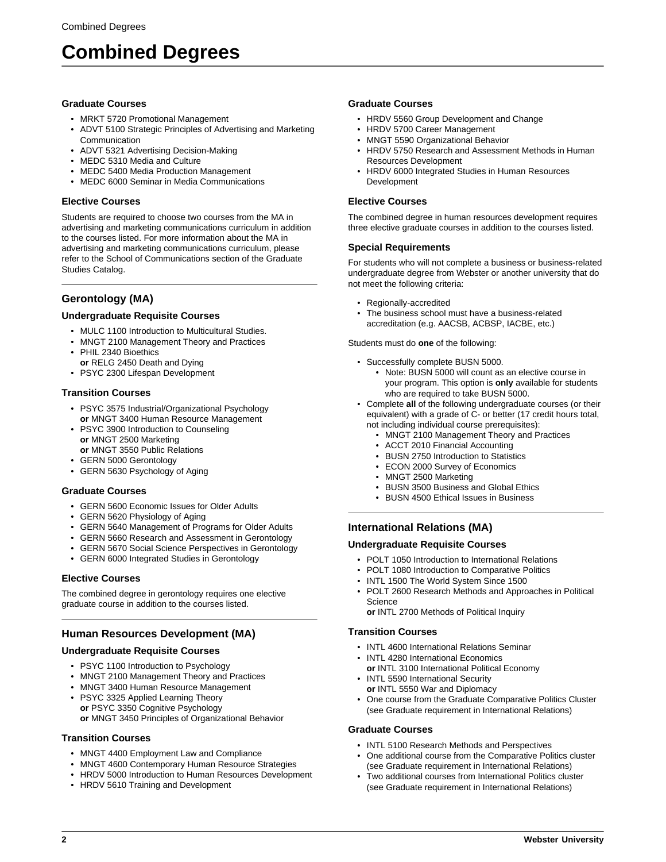# **Graduate Courses**

- MRKT 5720 Promotional Management
- ADVT 5100 Strategic Principles of Advertising and Marketing **Communication**
- ADVT 5321 Advertising Decision-Making
- MEDC 5310 Media and Culture
- MEDC 5400 Media Production Management
- MEDC 6000 Seminar in Media Communications

# **Elective Courses**

Students are required to choose two courses from the MA in advertising and marketing communications curriculum in addition to the courses listed. For more information about the MA in advertising and marketing communications curriculum, please refer to the School of Communications section of the Graduate Studies Catalog.

# **Gerontology (MA)**

# **Undergraduate Requisite Courses**

- MULC 1100 Introduction to Multicultural Studies.
- MNGT 2100 Management Theory and Practices
- PHIL 2340 Bioethics
- **or** RELG 2450 Death and Dying
- PSYC 2300 Lifespan Development

# **Transition Courses**

- PSYC 3575 Industrial/Organizational Psychology **or** MNGT 3400 Human Resource Management
- PSYC 3900 Introduction to Counseling **or** MNGT 2500 Marketing **or** MNGT 3550 Public Relations
- GERN 5000 Gerontology
- GERN 5630 Psychology of Aging

# **Graduate Courses**

- GERN 5600 Economic Issues for Older Adults
- GERN 5620 Physiology of Aging
- GERN 5640 Management of Programs for Older Adults
- GERN 5660 Research and Assessment in Gerontology
- GERN 5670 Social Science Perspectives in Gerontology
- GERN 6000 Integrated Studies in Gerontology

# **Elective Courses**

The combined degree in gerontology requires one elective graduate course in addition to the courses listed.

# **Human Resources Development (MA)**

# **Undergraduate Requisite Courses**

- PSYC 1100 Introduction to Psychology
- MNGT 2100 Management Theory and Practices
- MNGT 3400 Human Resource Management • PSYC 3325 Applied Learning Theory
- **or** PSYC 3350 Cognitive Psychology **or** MNGT 3450 Principles of Organizational Behavior

# **Transition Courses**

- MNGT 4400 Employment Law and Compliance
- MNGT 4600 Contemporary Human Resource Strategies
- HRDV 5000 Introduction to Human Resources Development
- HRDV 5610 Training and Development

#### **Graduate Courses**

- HRDV 5560 Group Development and Change
- HRDV 5700 Career Management
- MNGT 5590 Organizational Behavior
- HRDV 5750 Research and Assessment Methods in Human Resources Development
- HRDV 6000 Integrated Studies in Human Resources Development

#### **Elective Courses**

The combined degree in human resources development requires three elective graduate courses in addition to the courses listed.

#### **Special Requirements**

For students who will not complete a business or business-related undergraduate degree from Webster or another university that do not meet the following criteria:

- Regionally-accredited
- The business school must have a business-related accreditation (e.g. AACSB, ACBSP, IACBE, etc.)

Students must do **one** of the following:

- Successfully complete BUSN 5000.
	- Note: BUSN 5000 will count as an elective course in your program. This option is **only** available for students who are required to take BUSN 5000.
- Complete **all** of the following undergraduate courses (or their equivalent) with a grade of C- or better (17 credit hours total, not including individual course prerequisites):
	- MNGT 2100 Management Theory and Practices
	- ACCT 2010 Financial Accounting
	- BUSN 2750 Introduction to Statistics
	- ECON 2000 Survey of Economics
	- MNGT 2500 Marketing
	- BUSN 3500 Business and Global Ethics
	- BUSN 4500 Ethical Issues in Business

## **International Relations (MA)**

#### **Undergraduate Requisite Courses**

- POLT 1050 Introduction to International Relations
- POLT 1080 Introduction to Comparative Politics
- INTL 1500 The World System Since 1500
- POLT 2600 Research Methods and Approaches in Political **Science**

**or** INTL 2700 Methods of Political Inquiry

#### **Transition Courses**

- INTL 4600 International Relations Seminar
- INTL 4280 International Economics
- **or** INTL 3100 International Political Economy
- INTL 5590 International Security **or** INTL 5550 War and Diplomacy
- One course from the Graduate Comparative Politics Cluster (see Graduate requirement in International Relations)

#### **Graduate Courses**

- INTL 5100 Research Methods and Perspectives
- One additional course from the Comparative Politics cluster (see Graduate requirement in International Relations)
- Two additional courses from International Politics cluster (see Graduate requirement in International Relations)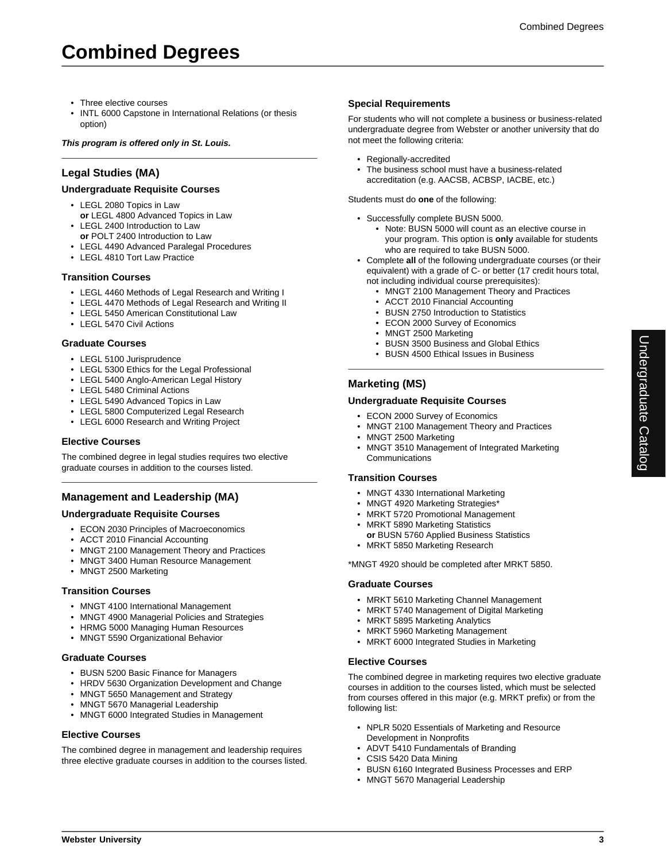- Three elective courses
- INTL 6000 Capstone in International Relations (or thesis option)

#### **This program is offered only in St. Louis.**

## **Legal Studies (MA)**

#### **Undergraduate Requisite Courses**

- LEGL 2080 Topics in Law **or** LEGL 4800 Advanced Topics in Law
- LEGL 2400 Introduction to Law
- **or** POLT 2400 Introduction to Law
- LEGL 4490 Advanced Paralegal Procedures
- LEGL 4810 Tort Law Practice

#### **Transition Courses**

- LEGL 4460 Methods of Legal Research and Writing I
- LEGL 4470 Methods of Legal Research and Writing II
- LEGL 5450 American Constitutional Law
- LEGL 5470 Civil Actions

#### **Graduate Courses**

- LEGL 5100 Jurisprudence
- LEGL 5300 Ethics for the Legal Professional
- LEGL 5400 Anglo-American Legal History
- LEGL 5480 Criminal Actions
- LEGL 5490 Advanced Topics in Law
- LEGL 5800 Computerized Legal Research
- LEGL 6000 Research and Writing Project

#### **Elective Courses**

The combined degree in legal studies requires two elective graduate courses in addition to the courses listed.

# **Management and Leadership (MA)**

#### **Undergraduate Requisite Courses**

- ECON 2030 Principles of Macroeconomics
- ACCT 2010 Financial Accounting
- MNGT 2100 Management Theory and Practices
- MNGT 3400 Human Resource Management
- MNGT 2500 Marketing

#### **Transition Courses**

- MNGT 4100 International Management
- MNGT 4900 Managerial Policies and Strategies
- HRMG 5000 Managing Human Resources
- MNGT 5590 Organizational Behavior

#### **Graduate Courses**

- BUSN 5200 Basic Finance for Managers
- HRDV 5630 Organization Development and Change
- MNGT 5650 Management and Strategy
- MNGT 5670 Managerial Leadership
- MNGT 6000 Integrated Studies in Management

#### **Elective Courses**

The combined degree in management and leadership requires three elective graduate courses in addition to the courses listed.

#### **Special Requirements**

For students who will not complete a business or business-related undergraduate degree from Webster or another university that do not meet the following criteria:

- Regionally-accredited
- The business school must have a business-related accreditation (e.g. AACSB, ACBSP, IACBE, etc.)

Students must do **one** of the following:

- Successfully complete BUSN 5000.
	- Note: BUSN 5000 will count as an elective course in your program. This option is **only** available for students who are required to take BUSN 5000.
- Complete **all** of the following undergraduate courses (or their equivalent) with a grade of C- or better (17 credit hours total, not including individual course prerequisites):
	- MNGT 2100 Management Theory and Practices
	- ACCT 2010 Financial Accounting
	- BUSN 2750 Introduction to Statistics
	- ECON 2000 Survey of Economics
	- MNGT 2500 Marketing
	- BUSN 3500 Business and Global Ethics
	- BUSN 4500 Ethical Issues in Business

# **Marketing (MS)**

#### **Undergraduate Requisite Courses**

- ECON 2000 Survey of Economics
- MNGT 2100 Management Theory and Practices
- MNGT 2500 Marketing
- MNGT 3510 Management of Integrated Marketing **Communications**

#### **Transition Courses**

- MNGT 4330 International Marketing
- MNGT 4920 Marketing Strategies\*
- MRKT 5720 Promotional Management • MRKT 5890 Marketing Statistics
- **or** BUSN 5760 Applied Business Statistics
- MRKT 5850 Marketing Research

\*MNGT 4920 should be completed after MRKT 5850.

#### **Graduate Courses**

- MRKT 5610 Marketing Channel Management
- MRKT 5740 Management of Digital Marketing
- MRKT 5895 Marketing Analytics
- MRKT 5960 Marketing Management
- MRKT 6000 Integrated Studies in Marketing

#### **Elective Courses**

The combined degree in marketing requires two elective graduate courses in addition to the courses listed, which must be selected from courses offered in this major (e.g. MRKT prefix) or from the following list:

- NPLR 5020 Essentials of Marketing and Resource Development in Nonprofits
- ADVT 5410 Fundamentals of Branding
- CSIS 5420 Data Mining
- BUSN 6160 Integrated Business Processes and ERP
- MNGT 5670 Managerial Leadership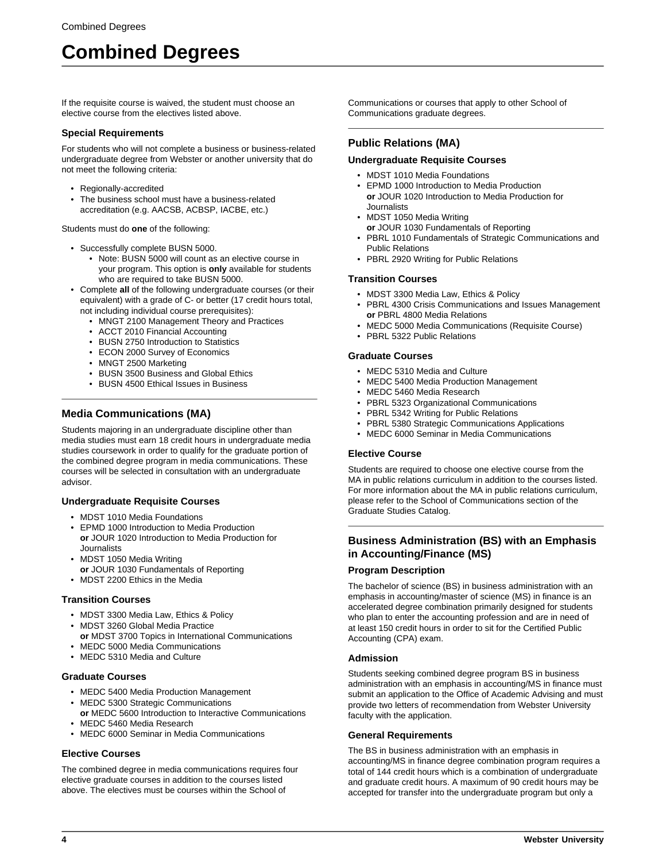If the requisite course is waived, the student must choose an elective course from the electives listed above.

#### **Special Requirements**

For students who will not complete a business or business-related undergraduate degree from Webster or another university that do not meet the following criteria:

- Regionally-accredited
- The business school must have a business-related accreditation (e.g. AACSB, ACBSP, IACBE, etc.)

Students must do **one** of the following:

- Successfully complete BUSN 5000.
	- Note: BUSN 5000 will count as an elective course in your program. This option is **only** available for students who are required to take BUSN 5000.
- Complete **all** of the following undergraduate courses (or their equivalent) with a grade of C- or better (17 credit hours total, not including individual course prerequisites):
	- MNGT 2100 Management Theory and Practices
	- ACCT 2010 Financial Accounting
	- BUSN 2750 Introduction to Statistics
	- ECON 2000 Survey of Economics
	- MNGT 2500 Marketing
	- BUSN 3500 Business and Global Ethics
	- BUSN 4500 Ethical Issues in Business

# **Media Communications (MA)**

Students majoring in an undergraduate discipline other than media studies must earn 18 credit hours in undergraduate media studies coursework in order to qualify for the graduate portion of the combined degree program in media communications. These courses will be selected in consultation with an undergraduate advisor.

## **Undergraduate Requisite Courses**

- MDST 1010 Media Foundations
- EPMD 1000 Introduction to Media Production **or** JOUR 1020 Introduction to Media Production for Journalists
- MDST 1050 Media Writing **or** JOUR 1030 Fundamentals of Reporting
- MDST 2200 Ethics in the Media

#### **Transition Courses**

- MDST 3300 Media Law, Ethics & Policy
- MDST 3260 Global Media Practice **or** MDST 3700 Topics in International Communications
- MEDC 5000 Media Communications
- MEDC 5310 Media and Culture

#### **Graduate Courses**

- MEDC 5400 Media Production Management
- MEDC 5300 Strategic Communications **or** MEDC 5600 Introduction to Interactive Communications
- MEDC 5460 Media Research
- MEDC 6000 Seminar in Media Communications

#### **Elective Courses**

The combined degree in media communications requires four elective graduate courses in addition to the courses listed above. The electives must be courses within the School of

Communications or courses that apply to other School of Communications graduate degrees.

# **Public Relations (MA)**

#### **Undergraduate Requisite Courses**

- MDST 1010 Media Foundations
- EPMD 1000 Introduction to Media Production **or** JOUR 1020 Introduction to Media Production for Journalists
- MDST 1050 Media Writing
	- **or** JOUR 1030 Fundamentals of Reporting
- PBRL 1010 Fundamentals of Strategic Communications and Public Relations
- PBRL 2920 Writing for Public Relations

#### **Transition Courses**

- MDST 3300 Media Law, Ethics & Policy
- PBRL 4300 Crisis Communications and Issues Management **or** PBRL 4800 Media Relations
- MEDC 5000 Media Communications (Requisite Course)
- PBRL 5322 Public Relations

# **Graduate Courses**

- MEDC 5310 Media and Culture
- MEDC 5400 Media Production Management
- MEDC 5460 Media Research
- PBRL 5323 Organizational Communications
- PBRL 5342 Writing for Public Relations
- PBRL 5380 Strategic Communications Applications
- MEDC 6000 Seminar in Media Communications

#### **Elective Course**

Students are required to choose one elective course from the MA in public relations curriculum in addition to the courses listed. For more information about the MA in public relations curriculum, please refer to the School of Communications section of the Graduate Studies Catalog.

# **Business Administration (BS) with an Emphasis in Accounting/Finance (MS)**

#### **Program Description**

The bachelor of science (BS) in business administration with an emphasis in accounting/master of science (MS) in finance is an accelerated degree combination primarily designed for students who plan to enter the accounting profession and are in need of at least 150 credit hours in order to sit for the Certified Public Accounting (CPA) exam.

#### **Admission**

Students seeking combined degree program BS in business administration with an emphasis in accounting/MS in finance must submit an application to the Office of Academic Advising and must provide two letters of recommendation from Webster University faculty with the application.

#### **General Requirements**

The BS in business administration with an emphasis in accounting/MS in finance degree combination program requires a total of 144 credit hours which is a combination of undergraduate and graduate credit hours. A maximum of 90 credit hours may be accepted for transfer into the undergraduate program but only a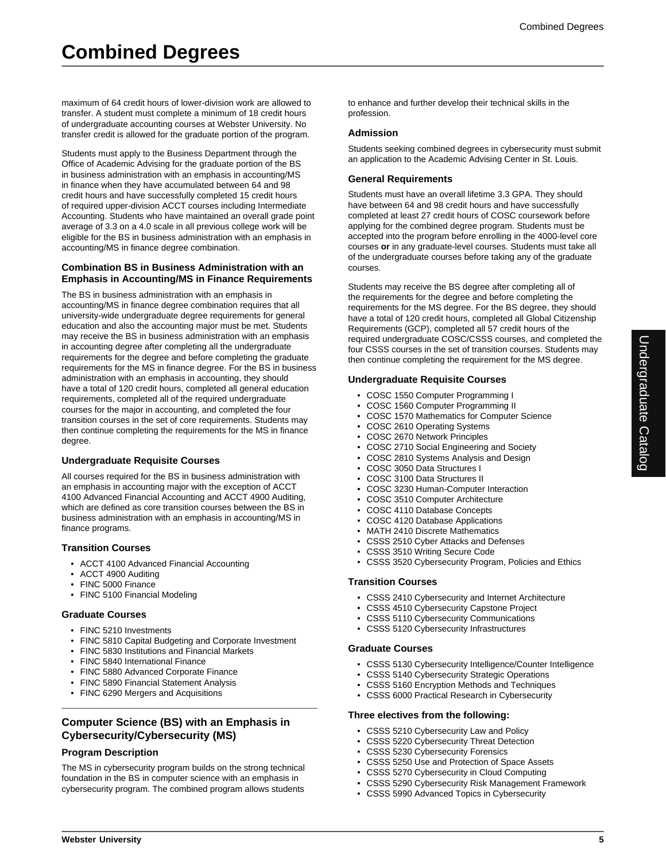maximum of 64 credit hours of lower-division work are allowed to transfer. A student must complete a minimum of 18 credit hours of undergraduate accounting courses at Webster University. No transfer credit is allowed for the graduate portion of the program.

Students must apply to the Business Department through the Office of Academic Advising for the graduate portion of the BS in business administration with an emphasis in accounting/MS in finance when they have accumulated between 64 and 98 credit hours and have successfully completed 15 credit hours of required upper-division ACCT courses including Intermediate Accounting. Students who have maintained an overall grade point average of 3.3 on a 4.0 scale in all previous college work will be eligible for the BS in business administration with an emphasis in accounting/MS in finance degree combination.

#### **Combination BS in Business Administration with an Emphasis in Accounting/MS in Finance Requirements**

The BS in business administration with an emphasis in accounting/MS in finance degree combination requires that all university-wide undergraduate degree requirements for general education and also the accounting major must be met. Students may receive the BS in business administration with an emphasis in accounting degree after completing all the undergraduate requirements for the degree and before completing the graduate requirements for the MS in finance degree. For the BS in business administration with an emphasis in accounting, they should have a total of 120 credit hours, completed all general education requirements, completed all of the required undergraduate courses for the major in accounting, and completed the four transition courses in the set of core requirements. Students may then continue completing the requirements for the MS in finance degree.

#### **Undergraduate Requisite Courses**

All courses required for the BS in business administration with an emphasis in accounting major with the exception of ACCT 4100 Advanced Financial Accounting and ACCT 4900 Auditing, which are defined as core transition courses between the BS in business administration with an emphasis in accounting/MS in finance programs.

#### **Transition Courses**

- ACCT 4100 Advanced Financial Accounting
- ACCT 4900 Auditing
- FINC 5000 Finance
- FINC 5100 Financial Modeling

#### **Graduate Courses**

- FINC 5210 Investments
- FINC 5810 Capital Budgeting and Corporate Investment
- FINC 5830 Institutions and Financial Markets
- FINC 5840 International Finance
- FINC 5880 Advanced Corporate Finance
- FINC 5890 Financial Statement Analysis
- FINC 6290 Mergers and Acquisitions

# **Computer Science (BS) with an Emphasis in Cybersecurity/Cybersecurity (MS)**

#### **Program Description**

The MS in cybersecurity program builds on the strong technical foundation in the BS in computer science with an emphasis in cybersecurity program. The combined program allows students

to enhance and further develop their technical skills in the profession.

#### **Admission**

Students seeking combined degrees in cybersecurity must submit an application to the Academic Advising Center in St. Louis.

#### **General Requirements**

Students must have an overall lifetime 3.3 GPA. They should have between 64 and 98 credit hours and have successfully completed at least 27 credit hours of COSC coursework before applying for the combined degree program. Students must be accepted into the program before enrolling in the 4000-level core courses **or** in any graduate-level courses. Students must take all of the undergraduate courses before taking any of the graduate courses.

Students may receive the BS degree after completing all of the requirements for the degree and before completing the requirements for the MS degree. For the BS degree, they should have a total of 120 credit hours, completed all Global Citizenship Requirements (GCP), completed all 57 credit hours of the required undergraduate COSC/CSSS courses, and completed the four CSSS courses in the set of transition courses. Students may then continue completing the requirement for the MS degree.

#### **Undergraduate Requisite Courses**

- COSC 1550 Computer Programming I
- COSC 1560 Computer Programming II
- COSC 1570 Mathematics for Computer Science
- COSC 2610 Operating Systems
- COSC 2670 Network Principles
- COSC 2710 Social Engineering and Society
- COSC 2810 Systems Analysis and Design
- COSC 3050 Data Structures I
- COSC 3100 Data Structures II
- COSC 3230 Human-Computer Interaction
- COSC 3510 Computer Architecture
- COSC 4110 Database Concepts
- COSC 4120 Database Applications
- MATH 2410 Discrete Mathematics
- CSSS 2510 Cyber Attacks and Defenses
- CSSS 3510 Writing Secure Code
- CSSS 3520 Cybersecurity Program, Policies and Ethics

#### **Transition Courses**

- CSSS 2410 Cybersecurity and Internet Architecture
- CSSS 4510 Cybersecurity Capstone Project
- CSSS 5110 Cybersecurity Communications
- CSSS 5120 Cybersecurity Infrastructures

#### **Graduate Courses**

- CSSS 5130 Cybersecurity Intelligence/Counter Intelligence
- CSSS 5140 Cybersecurity Strategic Operations
- CSSS 5160 Encryption Methods and Techniques
- CSSS 6000 Practical Research in Cybersecurity

#### **Three electives from the following:**

- CSSS 5210 Cybersecurity Law and Policy
- CSSS 5220 Cybersecurity Threat Detection
- CSSS 5230 Cybersecurity Forensics
- CSSS 5250 Use and Protection of Space Assets
- CSSS 5270 Cybersecurity in Cloud Computing
- CSSS 5290 Cybersecurity Risk Management Framework
- CSSS 5990 Advanced Topics in Cybersecurity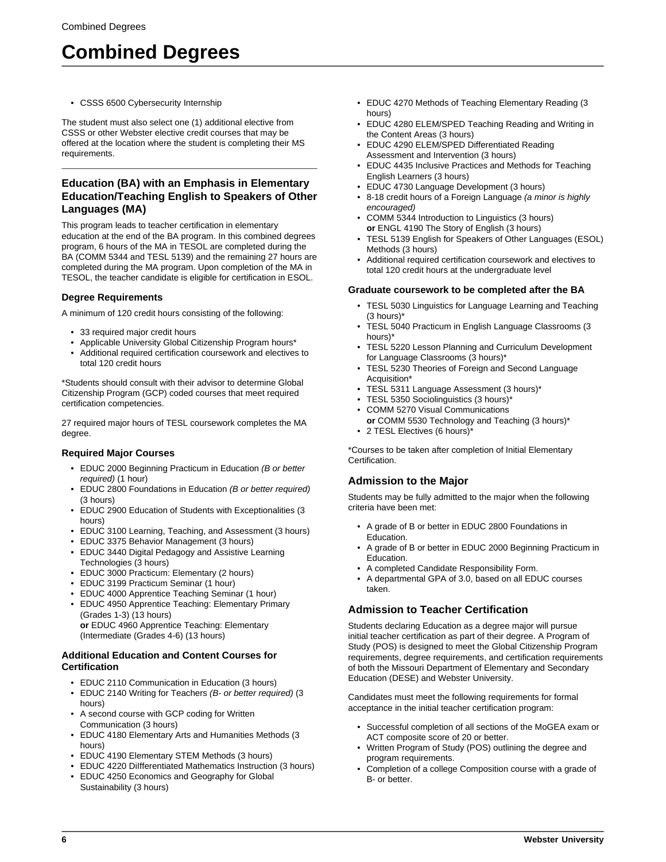• CSSS 6500 Cybersecurity Internship

The student must also select one (1) additional elective from CSSS or other Webster elective credit courses that may be offered at the location where the student is completing their MS requirements.

# **Education (BA) with an Emphasis in Elementary Education/Teaching English to Speakers of Other Languages (MA)**

This program leads to teacher certification in elementary education at the end of the BA program. In this combined degrees program, 6 hours of the MA in TESOL are completed during the BA (COMM 5344 and TESL 5139) and the remaining 27 hours are completed during the MA program. Upon completion of the MA in TESOL, the teacher candidate is eligible for certification in ESOL.

# **Degree Requirements**

A minimum of 120 credit hours consisting of the following:

- 33 required major credit hours
- Applicable University Global Citizenship Program hours\*
- Additional required certification coursework and electives to total 120 credit hours

\*Students should consult with their advisor to determine Global Citizenship Program (GCP) coded courses that meet required certification competencies.

27 required major hours of TESL coursework completes the MA degree.

# **Required Major Courses**

- EDUC 2000 Beginning Practicum in Education (B or better required) (1 hour)
- EDUC 2800 Foundations in Education (B or better required) (3 hours)
- EDUC 2900 Education of Students with Exceptionalities (3 hours)
- EDUC 3100 Learning, Teaching, and Assessment (3 hours)
- EDUC 3375 Behavior Management (3 hours)
- EDUC 3440 Digital Pedagogy and Assistive Learning Technologies (3 hours)
- EDUC 3000 Practicum: Elementary (2 hours)
- EDUC 3199 Practicum Seminar (1 hour)
- EDUC 4000 Apprentice Teaching Seminar (1 hour)
- EDUC 4950 Apprentice Teaching: Elementary Primary (Grades 1-3) (13 hours) **or** EDUC 4960 Apprentice Teaching: Elementary (Intermediate (Grades 4-6) (13 hours)

## **Additional Education and Content Courses for Certification**

- EDUC 2110 Communication in Education (3 hours)
- EDUC 2140 Writing for Teachers (B- or better required) (3 hours)
- A second course with GCP coding for Written Communication (3 hours)
- EDUC 4180 Elementary Arts and Humanities Methods (3 hours)
- EDUC 4190 Elementary STEM Methods (3 hours)
- EDUC 4220 DiIfferentiated Mathematics Instruction (3 hours)
- EDUC 4250 Economics and Geography for Global Sustainability (3 hours)
- EDUC 4270 Methods of Teaching Elementary Reading (3 hours)
- EDUC 4280 ELEM/SPED Teaching Reading and Writing in the Content Areas (3 hours)
- EDUC 4290 ELEM/SPED Differentiated Reading Assessment and Intervention (3 hours)
- EDUC 4435 Inclusive Practices and Methods for Teaching English Learners (3 hours)
- EDUC 4730 Language Development (3 hours)
- 8-18 credit hours of a Foreign Language (a minor is highly encouraged)
- COMM 5344 Introduction to Linguistics (3 hours) **or** ENGL 4190 The Story of English (3 hours)
- TESL 5139 English for Speakers of Other Languages (ESOL) Methods (3 hours)
- Additional required certification coursework and electives to total 120 credit hours at the undergraduate level

# **Graduate coursework to be completed after the BA**

- TESL 5030 Linguistics for Language Learning and Teaching (3 hours)\*
- TESL 5040 Practicum in English Language Classrooms (3 hours)\*
- TESL 5220 Lesson Planning and Curriculum Development for Language Classrooms (3 hours)\*
- TESL 5230 Theories of Foreign and Second Language Acquisition\*
- TESL 5311 Language Assessment (3 hours)\*
- TESL 5350 Sociolinguistics (3 hours)\*
- COMM 5270 Visual Communications
- **or** COMM 5530 Technology and Teaching (3 hours)\* • 2 TESL Electives (6 hours)\*

\*Courses to be taken after completion of Initial Elementary Certification.

# **Admission to the Major**

Students may be fully admitted to the major when the following criteria have been met:

- A grade of B or better in EDUC 2800 Foundations in Education.
- A grade of B or better in EDUC 2000 Beginning Practicum in Education.
- A completed Candidate Responsibility Form.
- A departmental GPA of 3.0, based on all EDUC courses taken.

# **Admission to Teacher Certification**

Students declaring Education as a degree major will pursue initial teacher certification as part of their degree. A Program of Study (POS) is designed to meet the Global Citizenship Program requirements, degree requirements, and certification requirements of both the Missouri Department of Elementary and Secondary Education (DESE) and Webster University.

Candidates must meet the following requirements for formal acceptance in the initial teacher certification program:

- Successful completion of all sections of the MoGEA exam or ACT composite score of 20 or better.
- Written Program of Study (POS) outlining the degree and program requirements.
- Completion of a college Composition course with a grade of B- or better.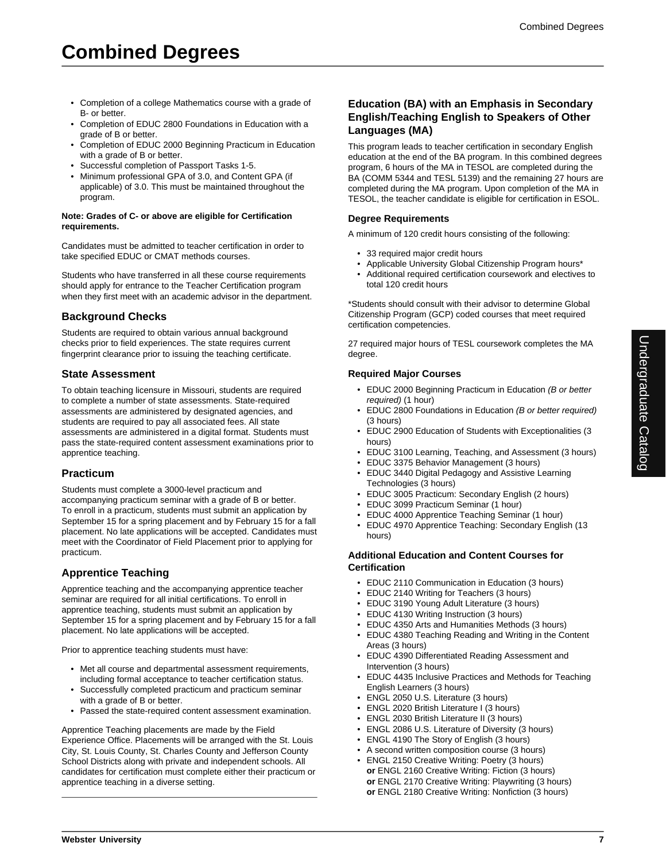- Completion of a college Mathematics course with a grade of B- or better.
- Completion of EDUC 2800 Foundations in Education with a grade of B or better.
- Completion of EDUC 2000 Beginning Practicum in Education with a grade of B or better.
- Successful completion of Passport Tasks 1-5.
- Minimum professional GPA of 3.0, and Content GPA (if applicable) of 3.0. This must be maintained throughout the program.

#### **Note: Grades of C- or above are eligible for Certification requirements.**

Candidates must be admitted to teacher certification in order to take specified EDUC or CMAT methods courses.

Students who have transferred in all these course requirements should apply for entrance to the Teacher Certification program when they first meet with an academic advisor in the department.

# **Background Checks**

Students are required to obtain various annual background checks prior to field experiences. The state requires current fingerprint clearance prior to issuing the teaching certificate.

# **State Assessment**

To obtain teaching licensure in Missouri, students are required to complete a number of state assessments. State-required assessments are administered by designated agencies, and students are required to pay all associated fees. All state assessments are administered in a digital format. Students must pass the state-required content assessment examinations prior to apprentice teaching.

## **Practicum**

Students must complete a 3000-level practicum and accompanying practicum seminar with a grade of B or better. To enroll in a practicum, students must submit an application by September 15 for a spring placement and by February 15 for a fall placement. No late applications will be accepted. Candidates must meet with the Coordinator of Field Placement prior to applying for practicum.

# **Apprentice Teaching**

Apprentice teaching and the accompanying apprentice teacher seminar are required for all initial certifications. To enroll in apprentice teaching, students must submit an application by September 15 for a spring placement and by February 15 for a fall placement. No late applications will be accepted.

Prior to apprentice teaching students must have:

- Met all course and departmental assessment requirements, including formal acceptance to teacher certification status.
- Successfully completed practicum and practicum seminar with a grade of B or better.
- Passed the state-required content assessment examination.

Apprentice Teaching placements are made by the Field Experience Office. Placements will be arranged with the St. Louis City, St. Louis County, St. Charles County and Jefferson County School Districts along with private and independent schools. All candidates for certification must complete either their practicum or apprentice teaching in a diverse setting.

## **Education (BA) with an Emphasis in Secondary English/Teaching English to Speakers of Other Languages (MA)**

This program leads to teacher certification in secondary English education at the end of the BA program. In this combined degrees program, 6 hours of the MA in TESOL are completed during the BA (COMM 5344 and TESL 5139) and the remaining 27 hours are completed during the MA program. Upon completion of the MA in TESOL, the teacher candidate is eligible for certification in ESOL.

## **Degree Requirements**

A minimum of 120 credit hours consisting of the following:

- 33 required major credit hours
- Applicable University Global Citizenship Program hours\*
- Additional required certification coursework and electives to total 120 credit hours

\*Students should consult with their advisor to determine Global Citizenship Program (GCP) coded courses that meet required certification competencies.

27 required major hours of TESL coursework completes the MA degree.

## **Required Major Courses**

- EDUC 2000 Beginning Practicum in Education (B or better required) (1 hour)
- EDUC 2800 Foundations in Education (B or better required) (3 hours)
- EDUC 2900 Education of Students with Exceptionalities (3 hours)
- EDUC 3100 Learning, Teaching, and Assessment (3 hours)
- EDUC 3375 Behavior Management (3 hours)
- EDUC 3440 Digital Pedagogy and Assistive Learning Technologies (3 hours)
- EDUC 3005 Practicum: Secondary English (2 hours)
- EDUC 3099 Practicum Seminar (1 hour)
- EDUC 4000 Apprentice Teaching Seminar (1 hour)
- EDUC 4970 Apprentice Teaching: Secondary English (13 hours)

#### **Additional Education and Content Courses for Certification**

- EDUC 2110 Communication in Education (3 hours)
- EDUC 2140 Writing for Teachers (3 hours)
- EDUC 3190 Young Adult Literature (3 hours)
- EDUC 4130 Writing Instruction (3 hours)
- EDUC 4350 Arts and Humanities Methods (3 hours)
- EDUC 4380 Teaching Reading and Writing in the Content Areas (3 hours)
- EDUC 4390 Differentiated Reading Assessment and Intervention (3 hours)
- EDUC 4435 Inclusive Practices and Methods for Teaching English Learners (3 hours)
- ENGL 2050 U.S. Literature (3 hours)
- ENGL 2020 British Literature I (3 hours)
- ENGL 2030 British Literature II (3 hours)
- ENGL 2086 U.S. Literature of Diversity (3 hours)
- ENGL 4190 The Story of English (3 hours)
- A second written composition course (3 hours)
- ENGL 2150 Creative Writing: Poetry (3 hours) **or** ENGL 2160 Creative Writing: Fiction (3 hours) **or** ENGL 2170 Creative Writing: Playwriting (3 hours) **or** ENGL 2180 Creative Writing: Nonfiction (3 hours)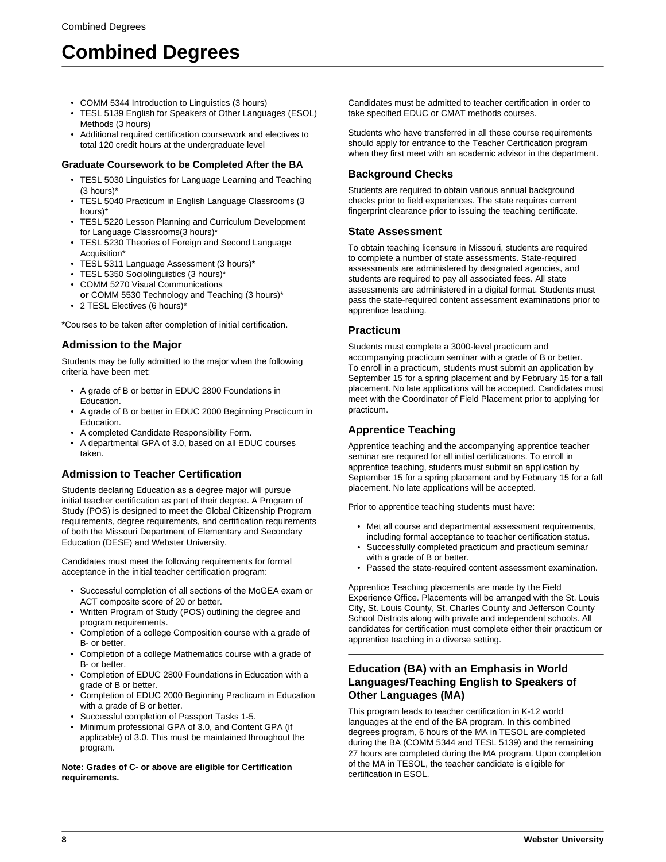- COMM 5344 Introduction to Linguistics (3 hours)
- TESL 5139 English for Speakers of Other Languages (ESOL) Methods (3 hours)
- Additional required certification coursework and electives to total 120 credit hours at the undergraduate level

# **Graduate Coursework to be Completed After the BA**

- TESL 5030 Linguistics for Language Learning and Teaching (3 hours)\*
- TESL 5040 Practicum in English Language Classrooms (3 hours)\*
- TESL 5220 Lesson Planning and Curriculum Development for Language Classrooms(3 hours)\*
- TESL 5230 Theories of Foreign and Second Language Acquisition\*
- TESL 5311 Language Assessment (3 hours)\*
- TESL 5350 Sociolinguistics (3 hours)\*
- COMM 5270 Visual Communications
- **or** COMM 5530 Technology and Teaching (3 hours)\* • 2 TESL Electives (6 hours)\*

\*Courses to be taken after completion of initial certification.

# **Admission to the Major**

Students may be fully admitted to the major when the following criteria have been met:

- A grade of B or better in EDUC 2800 Foundations in Education.
- A grade of B or better in EDUC 2000 Beginning Practicum in Education.
- A completed Candidate Responsibility Form.
- A departmental GPA of 3.0, based on all EDUC courses taken.

# **Admission to Teacher Certification**

Students declaring Education as a degree major will pursue initial teacher certification as part of their degree. A Program of Study (POS) is designed to meet the Global Citizenship Program requirements, degree requirements, and certification requirements of both the Missouri Department of Elementary and Secondary Education (DESE) and Webster University.

Candidates must meet the following requirements for formal acceptance in the initial teacher certification program:

- Successful completion of all sections of the MoGEA exam or ACT composite score of 20 or better.
- Written Program of Study (POS) outlining the degree and program requirements.
- Completion of a college Composition course with a grade of B- or better.
- Completion of a college Mathematics course with a grade of B- or better.
- Completion of EDUC 2800 Foundations in Education with a grade of B or better.
- Completion of EDUC 2000 Beginning Practicum in Education with a grade of B or better.
- Successful completion of Passport Tasks 1-5.
- Minimum professional GPA of 3.0, and Content GPA (if applicable) of 3.0. This must be maintained throughout the program.

**Note: Grades of C- or above are eligible for Certification requirements.**

Candidates must be admitted to teacher certification in order to take specified EDUC or CMAT methods courses.

Students who have transferred in all these course requirements should apply for entrance to the Teacher Certification program when they first meet with an academic advisor in the department.

# **Background Checks**

Students are required to obtain various annual background checks prior to field experiences. The state requires current fingerprint clearance prior to issuing the teaching certificate.

# **State Assessment**

To obtain teaching licensure in Missouri, students are required to complete a number of state assessments. State-required assessments are administered by designated agencies, and students are required to pay all associated fees. All state assessments are administered in a digital format. Students must pass the state-required content assessment examinations prior to apprentice teaching.

# **Practicum**

Students must complete a 3000-level practicum and accompanying practicum seminar with a grade of B or better. To enroll in a practicum, students must submit an application by September 15 for a spring placement and by February 15 for a fall placement. No late applications will be accepted. Candidates must meet with the Coordinator of Field Placement prior to applying for practicum.

# **Apprentice Teaching**

Apprentice teaching and the accompanying apprentice teacher seminar are required for all initial certifications. To enroll in apprentice teaching, students must submit an application by September 15 for a spring placement and by February 15 for a fall placement. No late applications will be accepted.

Prior to apprentice teaching students must have:

- Met all course and departmental assessment requirements, including formal acceptance to teacher certification status.
- Successfully completed practicum and practicum seminar with a grade of B or better.
- Passed the state-required content assessment examination.

Apprentice Teaching placements are made by the Field Experience Office. Placements will be arranged with the St. Louis City, St. Louis County, St. Charles County and Jefferson County School Districts along with private and independent schools. All candidates for certification must complete either their practicum or apprentice teaching in a diverse setting.

# **Education (BA) with an Emphasis in World Languages/Teaching English to Speakers of Other Languages (MA)**

This program leads to teacher certification in K-12 world languages at the end of the BA program. In this combined degrees program, 6 hours of the MA in TESOL are completed during the BA (COMM 5344 and TESL 5139) and the remaining 27 hours are completed during the MA program. Upon completion of the MA in TESOL, the teacher candidate is eligible for certification in ESOL.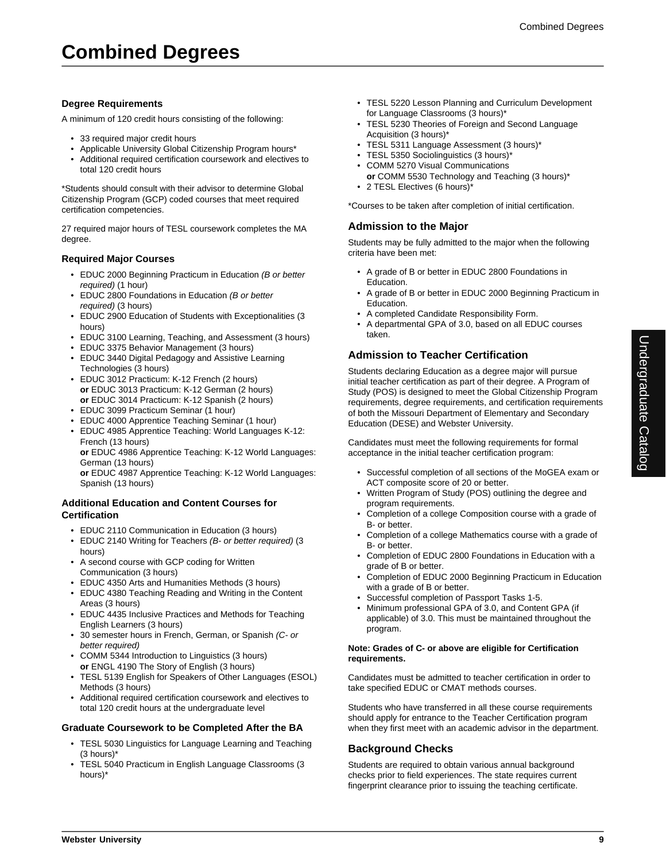## **Degree Requirements**

A minimum of 120 credit hours consisting of the following:

- 33 required major credit hours
- Applicable University Global Citizenship Program hours\*
- Additional required certification coursework and electives to total 120 credit hours

\*Students should consult with their advisor to determine Global Citizenship Program (GCP) coded courses that meet required certification competencies.

27 required major hours of TESL coursework completes the MA degree.

#### **Required Major Courses**

- EDUC 2000 Beginning Practicum in Education (B or better required) (1 hour)
- EDUC 2800 Foundations in Education (B or better required) (3 hours)
- EDUC 2900 Education of Students with Exceptionalities (3 hours)
- EDUC 3100 Learning, Teaching, and Assessment (3 hours)
- EDUC 3375 Behavior Management (3 hours)
- EDUC 3440 Digital Pedagogy and Assistive Learning Technologies (3 hours)
- EDUC 3012 Practicum: K-12 French (2 hours) **or** EDUC 3013 Practicum: K-12 German (2 hours) **or** EDUC 3014 Practicum: K-12 Spanish (2 hours)
- EDUC 3099 Practicum Seminar (1 hour)
- EDUC 4000 Apprentice Teaching Seminar (1 hour)
- EDUC 4985 Apprentice Teaching: World Languages K-12: French (13 hours)

**or** EDUC 4986 Apprentice Teaching: K-12 World Languages: German (13 hours)

**or** EDUC 4987 Apprentice Teaching: K-12 World Languages: Spanish (13 hours)

#### **Additional Education and Content Courses for Certification**

- EDUC 2110 Communication in Education (3 hours)
- EDUC 2140 Writing for Teachers (B- or better required) (3 hours)
- A second course with GCP coding for Written Communication (3 hours)
- EDUC 4350 Arts and Humanities Methods (3 hours)
- EDUC 4380 Teaching Reading and Writing in the Content Areas (3 hours)
- EDUC 4435 Inclusive Practices and Methods for Teaching English Learners (3 hours)
- 30 semester hours in French, German, or Spanish (C- or better required)
- COMM 5344 Introduction to Linguistics (3 hours) **or** ENGL 4190 The Story of English (3 hours)
- TESL 5139 English for Speakers of Other Languages (ESOL) Methods (3 hours)
- Additional required certification coursework and electives to total 120 credit hours at the undergraduate level

#### **Graduate Coursework to be Completed After the BA**

- TESL 5030 Linguistics for Language Learning and Teaching (3 hours)\*
- TESL 5040 Practicum in English Language Classrooms (3 hours)\*
- TESL 5220 Lesson Planning and Curriculum Development for Language Classrooms (3 hours)\*
- TESL 5230 Theories of Foreign and Second Language Acquisition (3 hours)\*
- TESL 5311 Language Assessment (3 hours)\*
- TESL 5350 Sociolinguistics (3 hours)\*
- COMM 5270 Visual Communications **or** COMM 5530 Technology and Teaching (3 hours)\*
- 2 TESL Electives (6 hours)\*

\*Courses to be taken after completion of initial certification.

#### **Admission to the Major**

Students may be fully admitted to the major when the following criteria have been met:

- A grade of B or better in EDUC 2800 Foundations in Education.
- A grade of B or better in EDUC 2000 Beginning Practicum in Education.
- A completed Candidate Responsibility Form.
- A departmental GPA of 3.0, based on all EDUC courses taken.

# **Admission to Teacher Certification**

Students declaring Education as a degree major will pursue initial teacher certification as part of their degree. A Program of Study (POS) is designed to meet the Global Citizenship Program requirements, degree requirements, and certification requirements of both the Missouri Department of Elementary and Secondary Education (DESE) and Webster University.

Candidates must meet the following requirements for formal acceptance in the initial teacher certification program:

- Successful completion of all sections of the MoGEA exam or ACT composite score of 20 or better.
- Written Program of Study (POS) outlining the degree and program requirements.
- Completion of a college Composition course with a grade of B- or better.
- Completion of a college Mathematics course with a grade of B- or better.
- Completion of EDUC 2800 Foundations in Education with a grade of B or better.
- Completion of EDUC 2000 Beginning Practicum in Education with a grade of B or better.
- Successful completion of Passport Tasks 1-5.
- Minimum professional GPA of 3.0, and Content GPA (if applicable) of 3.0. This must be maintained throughout the program.

#### **Note: Grades of C- or above are eligible for Certification requirements.**

Candidates must be admitted to teacher certification in order to take specified EDUC or CMAT methods courses.

Students who have transferred in all these course requirements should apply for entrance to the Teacher Certification program when they first meet with an academic advisor in the department.

## **Background Checks**

Students are required to obtain various annual background checks prior to field experiences. The state requires current fingerprint clearance prior to issuing the teaching certificate.